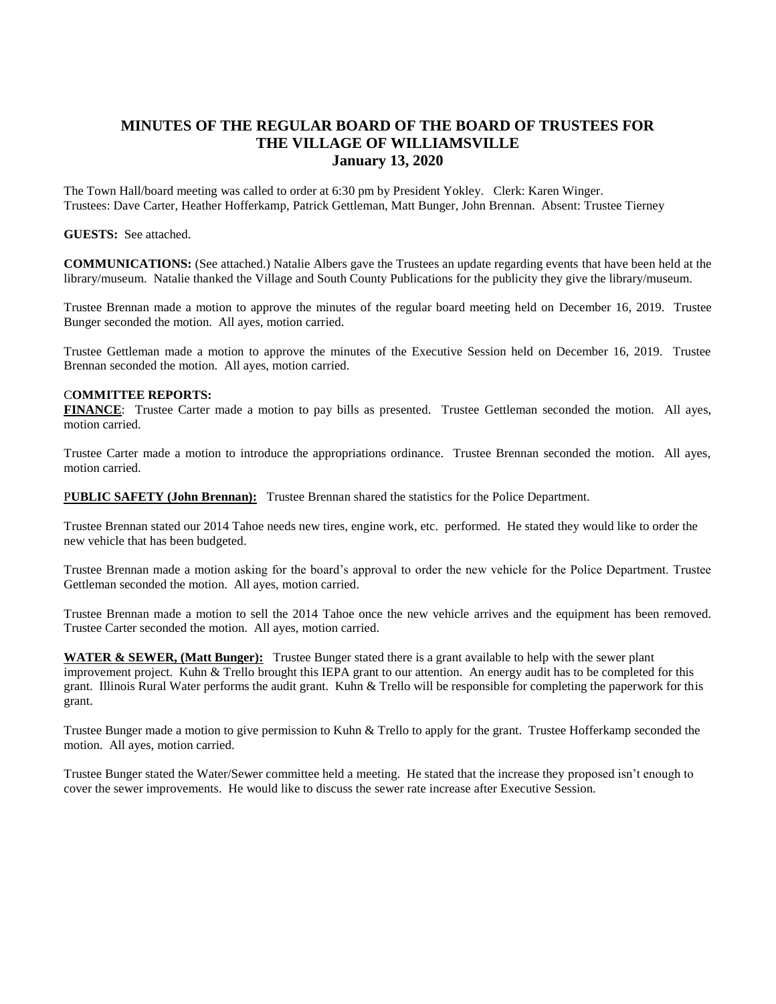## **MINUTES OF THE REGULAR BOARD OF THE BOARD OF TRUSTEES FOR THE VILLAGE OF WILLIAMSVILLE January 13, 2020**

The Town Hall/board meeting was called to order at 6:30 pm by President Yokley. Clerk: Karen Winger. Trustees: Dave Carter, Heather Hofferkamp, Patrick Gettleman, Matt Bunger, John Brennan. Absent: Trustee Tierney

## **GUESTS:** See attached.

**COMMUNICATIONS:** (See attached.) Natalie Albers gave the Trustees an update regarding events that have been held at the library/museum. Natalie thanked the Village and South County Publications for the publicity they give the library/museum.

Trustee Brennan made a motion to approve the minutes of the regular board meeting held on December 16, 2019. Trustee Bunger seconded the motion. All ayes, motion carried.

Trustee Gettleman made a motion to approve the minutes of the Executive Session held on December 16, 2019. Trustee Brennan seconded the motion. All ayes, motion carried.

## C**OMMITTEE REPORTS:**

**FINANCE**: Trustee Carter made a motion to pay bills as presented. Trustee Gettleman seconded the motion. All ayes, motion carried.

Trustee Carter made a motion to introduce the appropriations ordinance. Trustee Brennan seconded the motion. All ayes, motion carried.

P**UBLIC SAFETY (John Brennan):** Trustee Brennan shared the statistics for the Police Department.

Trustee Brennan stated our 2014 Tahoe needs new tires, engine work, etc. performed. He stated they would like to order the new vehicle that has been budgeted.

Trustee Brennan made a motion asking for the board's approval to order the new vehicle for the Police Department. Trustee Gettleman seconded the motion. All ayes, motion carried.

Trustee Brennan made a motion to sell the 2014 Tahoe once the new vehicle arrives and the equipment has been removed. Trustee Carter seconded the motion. All ayes, motion carried.

**WATER & SEWER, (Matt Bunger):** Trustee Bunger stated there is a grant available to help with the sewer plant improvement project. Kuhn & Trello brought this IEPA grant to our attention. An energy audit has to be completed for this grant. Illinois Rural Water performs the audit grant. Kuhn & Trello will be responsible for completing the paperwork for this grant.

Trustee Bunger made a motion to give permission to Kuhn & Trello to apply for the grant. Trustee Hofferkamp seconded the motion. All ayes, motion carried.

Trustee Bunger stated the Water/Sewer committee held a meeting. He stated that the increase they proposed isn't enough to cover the sewer improvements. He would like to discuss the sewer rate increase after Executive Session.